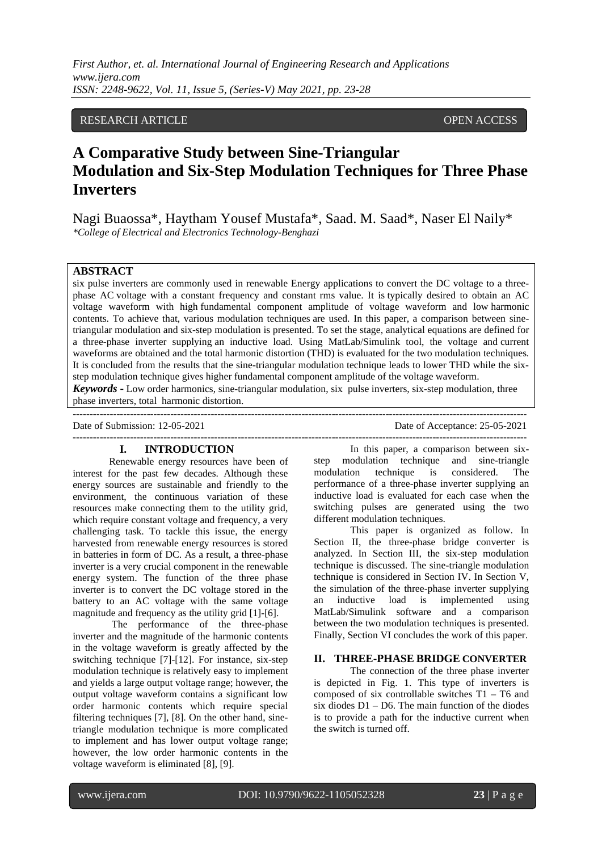# RESEARCH ARTICLE **CONSERVERS** OPEN ACCESS

# **A Comparative Study between Sine-Triangular Modulation and Six-Step Modulation Techniques for Three Phase Inverters**

Nagi Buaossa\*, Haytham Yousef Mustafa\*, Saad. M. Saad\*, Naser El Naily\* *\*College of Electrical and Electronics Technology-Benghazi*

## **ABSTRACT**

six pulse inverters are commonly used in renewable Energy applications to convert the DC voltage to a threephase AC voltage with a constant frequency and constant rms value. It is typically desired to obtain an AC voltage waveform with high fundamental component amplitude of voltage waveform and low harmonic contents. To achieve that, various modulation techniques are used. In this paper, a comparison between sinetriangular modulation and six-step modulation is presented. To set the stage, analytical equations are defined for a three-phase inverter supplying an inductive load. Using MatLab/Simulink tool, the voltage and current waveforms are obtained and the total harmonic distortion (THD) is evaluated for the two modulation techniques. It is concluded from the results that the sine-triangular modulation technique leads to lower THD while the sixstep modulation technique gives higher fundamental component amplitude of the voltage waveform.

*Keywords* **-** Low order harmonics, sine-triangular modulation, six pulse inverters, six-step modulation, three phase inverters, total harmonic distortion.

--------------------------------------------------------------------------------------------------------------------------------------- Date of Acceptance: 25-05-2021 ---------------------------------------------------------------------------------------------------------------------------------------

### **I. INTRODUCTION**

Renewable energy resources have been of interest for the past few decades. Although these energy sources are sustainable and friendly to the environment, the continuous variation of these resources make connecting them to the utility grid, which require constant voltage and frequency, a very challenging task. To tackle this issue, the energy harvested from renewable energy resources is stored in batteries in form of DC. As a result, a three-phase inverter is a very crucial component in the renewable energy system. The function of the three phase inverter is to convert the DC voltage stored in the battery to an AC voltage with the same voltage magnitude and frequency as the utility grid [1]-[6].

The performance of the three-phase inverter and the magnitude of the harmonic contents in the voltage waveform is greatly affected by the switching technique [7]-[12]. For instance, six-step modulation technique is relatively easy to implement and yields a large output voltage range; however, the output voltage waveform contains a significant low order harmonic contents which require special filtering techniques [7], [8]. On the other hand, sinetriangle modulation technique is more complicated to implement and has lower output voltage range; however, the low order harmonic contents in the voltage waveform is eliminated [8], [9].

In this paper, a comparison between sixstep modulation technique and sine-triangle modulation technique is considered. The performance of a three-phase inverter supplying an inductive load is evaluated for each case when the switching pulses are generated using the two different modulation techniques.

This paper is organized as follow. In Section II, the three-phase bridge converter is analyzed. In Section III, the six-step modulation technique is discussed. The sine-triangle modulation technique is considered in Section IV. In Section V, the simulation of the three-phase inverter supplying an inductive load is implemented using MatLab/Simulink software and a comparison between the two modulation techniques is presented. Finally, Section VI concludes the work of this paper.

# **II. THREE-PHASE BRIDGE CONVERTER**

The connection of the three phase inverter is depicted in Fig. 1. This type of inverters is composed of six controllable switches T1 – T6 and six diodes  $D1 - D6$ . The main function of the diodes is to provide a path for the inductive current when the switch is turned off.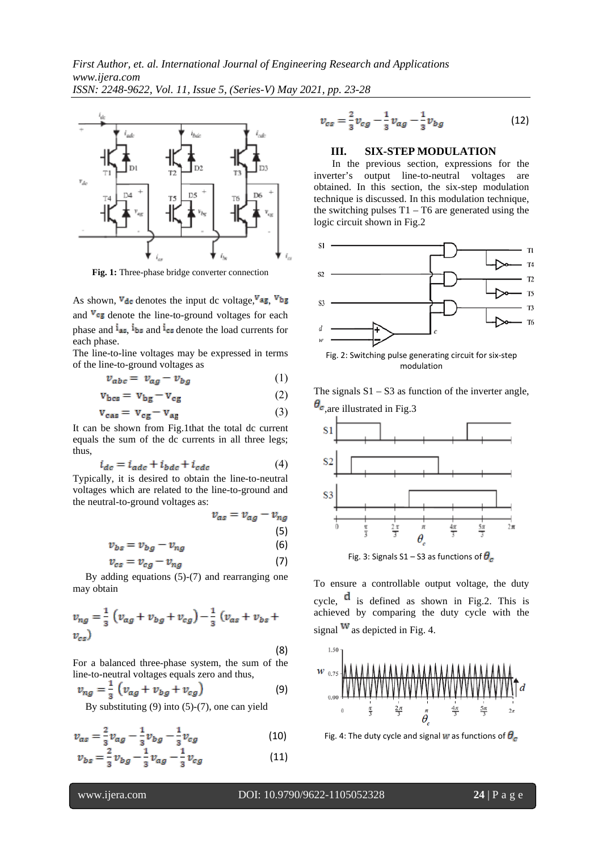

**Fig. 1:** Three-phase bridge converter connection

As shown,  $\nabla_{\text{de}}$  denotes the input dc voltage,  $\nabla_{\text{ag}}$ ,  $\nabla_{\text{bg}}$ and  $V_{\text{CE}}$  denote the line-to-ground voltages for each phase and  $\mathbf{I}_{\text{max}}$ ,  $\mathbf{I}_{\text{bs}}$  and  $\mathbf{I}_{\text{res}}$  denote the load currents for each phase.

The line-to-line voltages may be expressed in terms of the line-to-ground voltages as

$$
v_{abc} = v_{ag} - v_{bg} \tag{1}
$$

$$
\mathbf{v}_{\text{bes}} = \mathbf{v}_{\text{bg}} - \mathbf{v}_{\text{eg}} \tag{2}
$$

$$
\mathbf{v}_{\text{cas}} = \mathbf{v}_{\text{cg}} - \mathbf{v}_{\text{ae}} \tag{3}
$$

It can be shown from Fig.1that the total dc current equals the sum of the dc currents in all three legs; thus,

$$
i_{de} = i_{ade} + i_{bde} + i_{ede}
$$
 (4)

Typically, it is desired to obtain the line-to-neutral voltages which are related to the line-to-ground and the neutral-to-ground voltages as:

$$
v_{as} = v_{ag} - v_{ng}
$$
\n<sup>(5)</sup>

$$
= v_{bg} - v_{ng} \tag{6}
$$

$$
v_{cs} = v_{cg} - v_{ng} \tag{7}
$$

 By adding equations (5)-(7) and rearranging one may obtain

$$
v_{ng} = \frac{1}{3} \left( v_{ag} + v_{bg} + v_{cg} \right) - \frac{1}{3} \left( v_{as} + v_{bs} + v_{cs} \right)
$$
  
(8)

For a balanced three-phase system, the sum of the line-to-neutral voltages equals zero and thus,

$$
v_{ng} = \frac{1}{3} \left( v_{ag} + v_{bg} + v_{cg} \right)
$$
 (9)

By substituting (9) into (5)-(7), one can yield

$$
v_{\alpha s} = \frac{2}{3} v_{\alpha g} - \frac{1}{3} v_{bg} - \frac{1}{3} v_{cg}
$$
 (10)

$$
v_{bs} = \frac{2}{3}v_{bg} - \frac{1}{3}v_{ag} - \frac{1}{3}v_{cg}
$$
 (11)

$$
v_{cs} = \frac{2}{3}v_{cg} - \frac{1}{3}v_{ag} - \frac{1}{3}v_{bg}
$$
 (12)

# **III. SIX-STEP MODULATION**

In the previous section, expressions for the inverter's output line-to-neutral voltages are obtained. In this section, the six-step modulation technique is discussed. In this modulation technique, the switching pulses  $T1 - T6$  are generated using the logic circuit shown in Fig.2



The signals  $S1 - S3$  as function of the inverter angle,  $\theta_{\rm c}$ , are illustrated in Fig. 3



Fig. 3: Signals S1 – S3 as functions of  $\theta_{\rm c}$ 

To ensure a controllable output voltage, the duty cycle,  $\mathbf{\vec{a}}$  is defined as shown in Fig.2. This is achieved by comparing the duty cycle with the signal  $\mathbf{w}$  as depicted in Fig. 4.



Fig. 4: The duty cycle and signal  $\mathbf{F}$  as functions of  $\boldsymbol{\theta}_{\sigma}$ 

 $v_{bs}$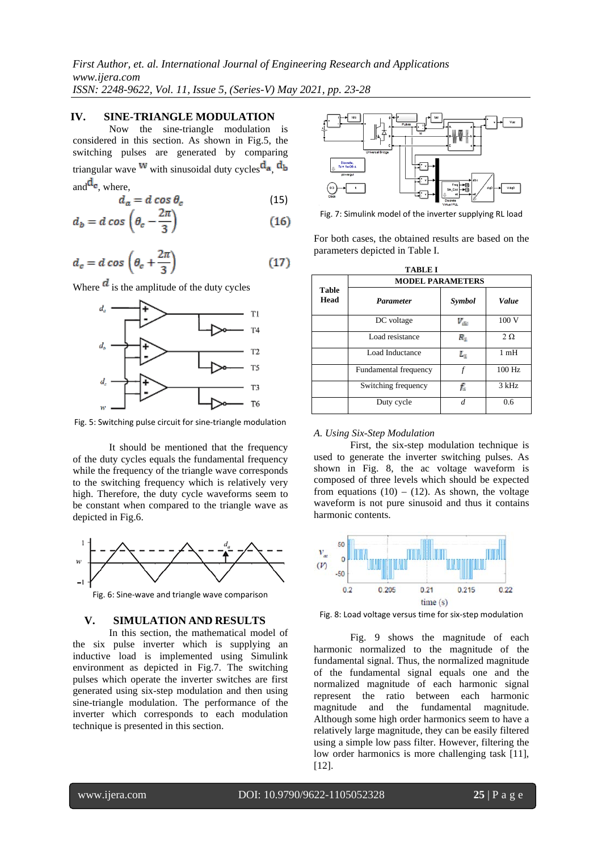### **IV. SINE-TRIANGLE MODULATION**

 Now the sine-triangle modulation is considered in this section. As shown in Fig.5, the switching pulses are generated by comparing triangular wave  $^{w}$  with sinusoidal duty cycles  $^{d_a}$ ,  $^{d_b}$ and  $\mathbf{d}_{\mathbf{c}}$ , where,

$$
d_a = d \cos \theta_c \tag{15}
$$

$$
d_b = d \cos \left(\theta_c - \frac{2\pi}{3}\right) \tag{16}
$$

$$
d_c = d \cos \left(\theta_c + \frac{2\pi}{3}\right) \tag{17}
$$

Where  $\overrightarrow{a}$  is the amplitude of the duty cycles



Fig. 5: Switching pulse circuit for sine-triangle modulation

It should be mentioned that the frequency of the duty cycles equals the fundamental frequency while the frequency of the triangle wave corresponds to the switching frequency which is relatively very high. Therefore, the duty cycle waveforms seem to be constant when compared to the triangle wave as depicted in Fig.6.



Fig. 6: Sine-wave and triangle wave comparison

#### **V. SIMULATION AND RESULTS**

In this section, the mathematical model of the six pulse inverter which is supplying an inductive load is implemented using Simulink environment as depicted in Fig.7. The switching pulses which operate the inverter switches are first generated using six-step modulation and then using sine-triangle modulation. The performance of the inverter which corresponds to each modulation technique is presented in this section.



Fig. 7: Simulink model of the inverter supplying RL load

For both cases, the obtained results are based on the parameters depicted in Table I.

| <b>Table</b><br>Head | <b>MODEL PARAMETERS</b> |                                             |                 |
|----------------------|-------------------------|---------------------------------------------|-----------------|
|                      | <b>Parameter</b>        | Symbol                                      | Value           |
|                      | DC voltage              | $V_{\rm ds}$                                | 100 V           |
|                      | Load resistance         | $R_{\scriptscriptstyle\rm I\hspace{-1pt}I}$ | $2\Omega$       |
|                      | Load Inductance         | $\mathbf{L}_\mathrm{R}$                     | 1 <sub>mH</sub> |
|                      | Fundamental frequency   | f                                           | 100 Hz          |
|                      | Switching frequency     | f.                                          | 3 kHz           |
|                      | Duty cycle              | d                                           | 0.6             |

#### *A. Using Six-Step Modulation*

First, the six-step modulation technique is used to generate the inverter switching pulses. As shown in Fig. 8, the ac voltage waveform is composed of three levels which should be expected from equations  $(10) - (12)$ . As shown, the voltage waveform is not pure sinusoid and thus it contains harmonic contents.



Fig. 8: Load voltage versus time for six-step modulation

Fig. 9 shows the magnitude of each harmonic normalized to the magnitude of the fundamental signal. Thus, the normalized magnitude of the fundamental signal equals one and the normalized magnitude of each harmonic signal represent the ratio between each harmonic magnitude and the fundamental magnitude. Although some high order harmonics seem to have a relatively large magnitude, they can be easily filtered using a simple low pass filter. However, filtering the low order harmonics is more challenging task [11], [12].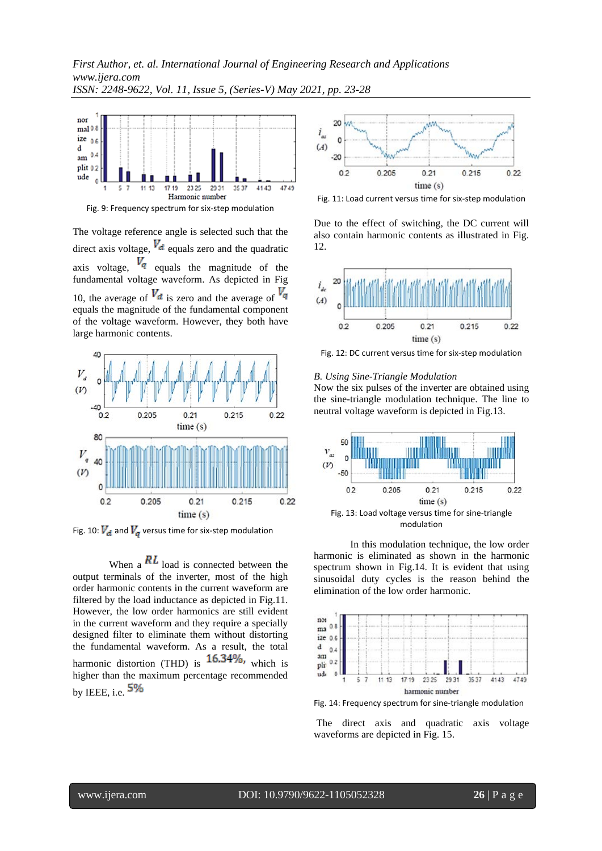

Fig. 9: Frequency spectrum for six-step modulation

The voltage reference angle is selected such that the direct axis voltage,  $V_d$  equals zero and the quadratic axis voltage,  $V_q$  equals the magnitude of the fundamental voltage waveform. As depicted in Fig 10, the average of  $V_d$  is zero and the average of  $V_q$ equals the magnitude of the fundamental component of the voltage waveform. However, they both have large harmonic contents.



Fig. 10:  $V_{\rm el}$  and  $V_{\rm e}$  versus time for six-step modulation

When a  $\mathbf{R}$  load is connected between the output terminals of the inverter, most of the high order harmonic contents in the current waveform are filtered by the load inductance as depicted in Fig.11. However, the low order harmonics are still evident in the current waveform and they require a specially designed filter to eliminate them without distorting the fundamental waveform. As a result, the total harmonic distortion (THD) is  $16.34\%$ , which is higher than the maximum percentage recommended by IEEE, i.e.  $5\%$ 



Fig. 11: Load current versus time for six-step modulation

Due to the effect of switching, the DC current will also contain harmonic contents as illustrated in Fig. 12.



Fig. 12: DC current versus time for six-step modulation

#### *B. Using Sine-Triangle Modulation*

Now the six pulses of the inverter are obtained using the sine-triangle modulation technique. The line to neutral voltage waveform is depicted in Fig.13.



In this modulation technique, the low order harmonic is eliminated as shown in the harmonic spectrum shown in Fig.14. It is evident that using sinusoidal duty cycles is the reason behind the elimination of the low order harmonic.



Fig. 14: Frequency spectrum for sine-triangle modulation

The direct axis and quadratic axis voltage waveforms are depicted in Fig. 15.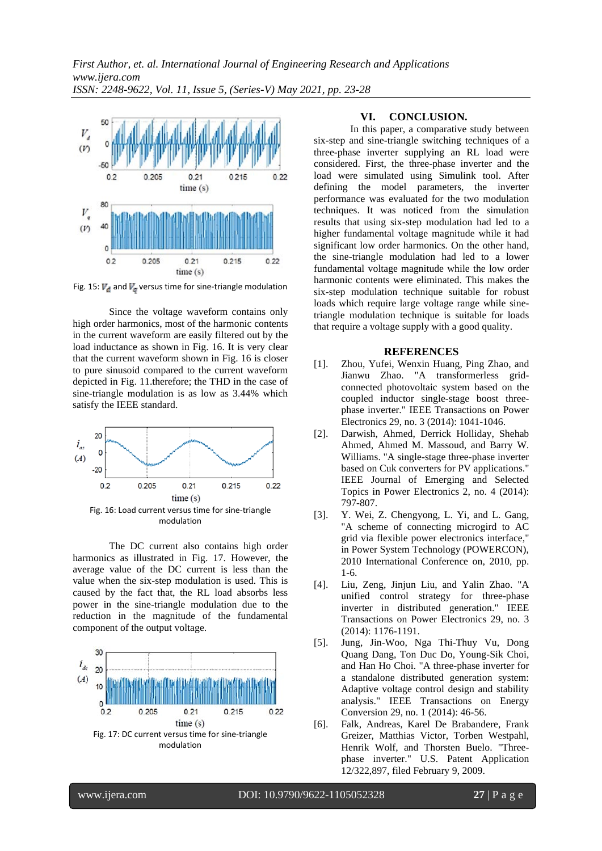

Fig. 15:  $V_{\text{eff}}$  and  $V_{\text{eff}}$  versus time for sine-triangle modulation

Since the voltage waveform contains only high order harmonics, most of the harmonic contents in the current waveform are easily filtered out by the load inductance as shown in Fig. 16. It is very clear that the current waveform shown in Fig. 16 is closer to pure sinusoid compared to the current waveform depicted in Fig. 11.therefore; the THD in the case of sine-triangle modulation is as low as 3.44% which satisfy the IEEE standard.



The DC current also contains high order harmonics as illustrated in Fig. 17. However, the average value of the DC current is less than the value when the six-step modulation is used. This is caused by the fact that, the RL load absorbs less power in the sine-triangle modulation due to the reduction in the magnitude of the fundamental component of the output voltage.



#### **VI. CONCLUSION.**

In this paper, a comparative study between six-step and sine-triangle switching techniques of a three-phase inverter supplying an RL load were considered. First, the three-phase inverter and the load were simulated using Simulink tool. After defining the model parameters, the inverter performance was evaluated for the two modulation techniques. It was noticed from the simulation results that using six-step modulation had led to a higher fundamental voltage magnitude while it had significant low order harmonics. On the other hand, the sine-triangle modulation had led to a lower fundamental voltage magnitude while the low order harmonic contents were eliminated. This makes the six-step modulation technique suitable for robust loads which require large voltage range while sinetriangle modulation technique is suitable for loads that require a voltage supply with a good quality.

#### **REFERENCES**

- [1]. Zhou, Yufei, Wenxin Huang, Ping Zhao, and Jianwu Zhao. "A transformerless gridconnected photovoltaic system based on the coupled inductor single-stage boost threephase inverter." IEEE Transactions on Power Electronics 29, no. 3 (2014): 1041-1046.
- [2]. Darwish, Ahmed, Derrick Holliday, Shehab Ahmed, Ahmed M. Massoud, and Barry W. Williams. "A single-stage three-phase inverter based on Cuk converters for PV applications." IEEE Journal of Emerging and Selected Topics in Power Electronics 2, no. 4 (2014): 797-807.
- [3]. Y. Wei, Z. Chengyong, L. Yi, and L. Gang, "A scheme of connecting microgird to AC grid via flexible power electronics interface," in Power System Technology (POWERCON), 2010 International Conference on, 2010, pp. 1-6.
- [4]. Liu, Zeng, Jinjun Liu, and Yalin Zhao. "A unified control strategy for three-phase inverter in distributed generation." IEEE Transactions on Power Electronics 29, no. 3 (2014): 1176-1191.
- [5]. Jung, Jin-Woo, Nga Thi-Thuy Vu, Dong Quang Dang, Ton Duc Do, Young-Sik Choi, and Han Ho Choi. "A three-phase inverter for a standalone distributed generation system: Adaptive voltage control design and stability analysis." IEEE Transactions on Energy Conversion 29, no. 1 (2014): 46-56.
- [6]. Falk, Andreas, Karel De Brabandere, Frank Greizer, Matthias Victor, Torben Westpahl, Henrik Wolf, and Thorsten Buelo. "Threephase inverter." U.S. Patent Application 12/322,897, filed February 9, 2009.